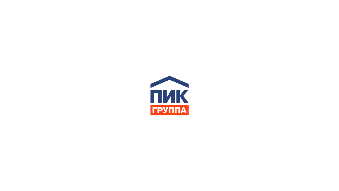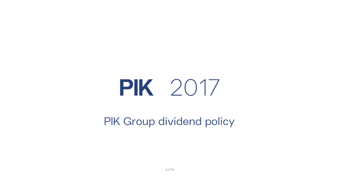# PIK 2017

PIK Group dividend policy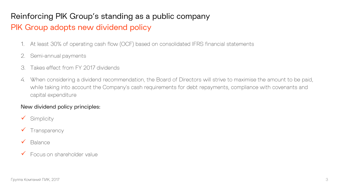### Reinforcing PIK Group's standing as a public company

## PIK Group adopts new dividend policy

- At least 30% of operating cash flow (OCF) based on consolidated IFRS financial statements  $\sim$
- $2.$ Semi-annual payments
- Takes effect from FY 2017 dividends  $\beta$
- When considering a dividend recommendation, the Board of Directors will strive to maximise the amount to be paid, 4. while taking into account the Company's cash requirements for debt repayments, compliance with covenants and capital expenditure

#### New dividend policy principles:

- Simplicity
- $\checkmark$  Transparency
- **Balance**
- Focus on shareholder value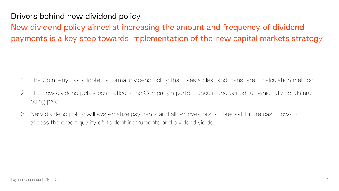Drivers behind new dividend policy

New dividend policy aimed at increasing the amount and frequency of dividend payments is a key step towards implementation of the new capital markets strategy

- The Company has adopted a formal dividend policy that uses a clear and transparent calculation method
- The new dividend policy best reflects the Company's performance in the period for which dividends are 2. being paid
- New dividend policy will systematize payments and allow investors to forecast future cash flows to 3. assess the credit quality of its debt instruments and dividend yields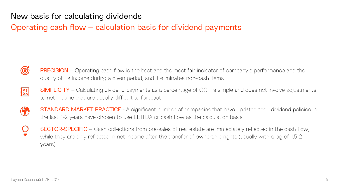New basis for calculating dividends

Operating cash flow – calculation basis for dividend payments



**PRECISION** – Operating cash flow is the best and the most fair indicator of company's performance and the quality of its income during a given period, and it eliminates non-cash items



**SIMPLICITY** – Calculating dividend payments as a percentage of OCF is simple and does not involve adjustments to net income that are usually difficult to forecast



**STANDARD MARKET PRACTICE** - A significant number of companies that have updated their dividend policies in the last 1-2 years have chosen to use EBITDA or cash flow as the calculation basis

**SECTOR-SPECIFIC** – Cash collections from pre-sales of real estate are immediately reflected in the cash flow, while they are only reflected in net income after the transfer of ownership rights (usually with a lag of 1.5-2 years)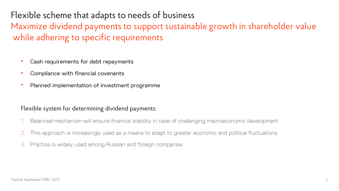Flexible scheme that adapts to needs of business Maximize dividend payments to support sustainable growth in shareholder value while adhering to specific requirements

- Cash requirements for debt repayments •
- Compliance with financial covenants
- Planned implementation of investment programme •

#### Flexible system for determining dividend payments:

- Balanced mechanism will ensure financial stability in case of challenging macroeconomic development
- This approach is increasingly used as a means to adapt to greater economic and political fluctuations
- Practice is widely used among Russian and foreign companies 3.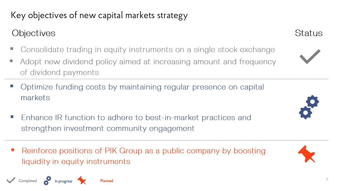# Key objectives of new capital markets strategy

## Objectives

- Consolidate trading in equity instruments on a single stock exchange
- Adopt new dividend policy aimed at increasing amount and frequency of dividend payments
- Optimize funding costs by maintaining regular presence on capital markets
- Enhance IR function to adhere to best-in-market practices and  $\mathcal{L}_{\mathcal{A}}$ strengthen investment community engagement
- Reinforce positions of PIK Group as a public company by boosting  $\mathbb{Z}$ liquidity in equity instruments